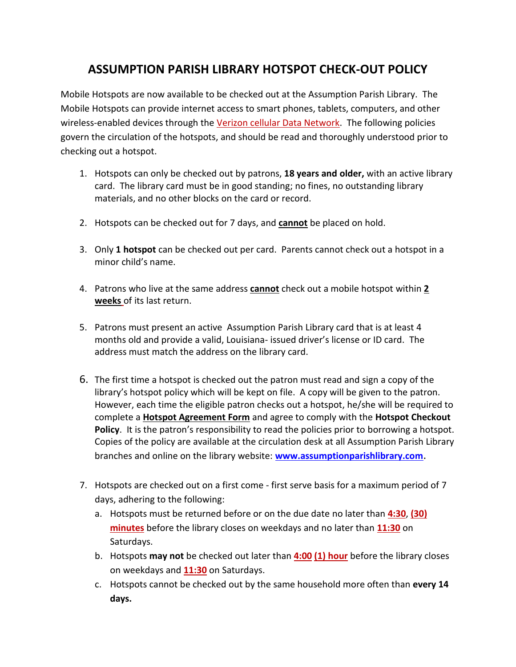## **ASSUMPTION PARISH LIBRARY HOTSPOT CHECK-OUT POLICY**

Mobile Hotspots are now available to be checked out at the Assumption Parish Library. The Mobile Hotspots can provide internet access to smart phones, tablets, computers, and other wireless-enabled devices through the Verizon cellular Data Network. The following policies govern the circulation of the hotspots, and should be read and thoroughly understood prior to checking out a hotspot.

- 1. Hotspots can only be checked out by patrons, **18 years and older,** with an active library card. The library card must be in good standing; no fines, no outstanding library materials, and no other blocks on the card or record.
- 2. Hotspots can be checked out for 7 days, and **cannot** be placed on hold.
- 3. Only **1 hotspot** can be checked out per card. Parents cannot check out a hotspot in a minor child's name.
- 4. Patrons who live at the same address **cannot** check out a mobile hotspot within **2 weeks** of its last return.
- 5. Patrons must present an active Assumption Parish Library card that is at least 4 months old and provide a valid, Louisiana- issued driver's license or ID card. The address must match the address on the library card.
- 6. The first time a hotspot is checked out the patron must read and sign a copy of the library's hotspot policy which will be kept on file. A copy will be given to the patron. However, each time the eligible patron checks out a hotspot, he/she will be required to complete a **Hotspot Agreement Form** and agree to comply with the **Hotspot Checkout Policy**. It is the patron's responsibility to read the policies prior to borrowing a hotspot. Copies of the policy are available at the circulation desk at all Assumption Parish Library branches and online on the library website: **[www.assumptionparishlibrary.com](http://www.assumptionparishlibrary.com/)**.
- 7. Hotspots are checked out on a first come first serve basis for a maximum period of 7 days, adhering to the following:
	- a. Hotspots must be returned before or on the due date no later than **4:30**, **(30) minutes** before the library closes on weekdays and no later than **11:30** on Saturdays.
	- b. Hotspots **may not** be checked out later than **4:00 (1) hour** before the library closes on weekdays and **11:30** on Saturdays.
	- c. Hotspots cannot be checked out by the same household more often than **every 14 days.**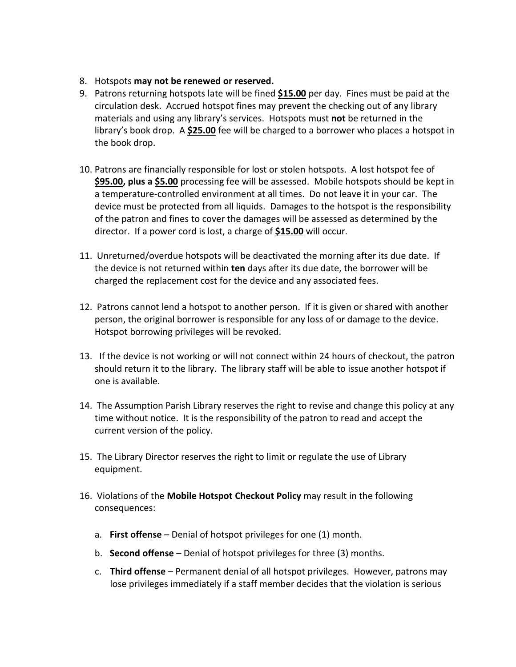- 8. Hotspots **may not be renewed or reserved.**
- 9. Patrons returning hotspots late will be fined **\$15.00** per day. Fines must be paid at the circulation desk. Accrued hotspot fines may prevent the checking out of any library materials and using any library's services. Hotspots must **not** be returned in the library's book drop. A **\$25.00** fee will be charged to a borrower who places a hotspot in the book drop.
- 10. Patrons are financially responsible for lost or stolen hotspots. A lost hotspot fee of **\$95.00, plus a \$5.00** processing fee will be assessed. Mobile hotspots should be kept in a temperature-controlled environment at all times. Do not leave it in your car. The device must be protected from all liquids. Damages to the hotspot is the responsibility of the patron and fines to cover the damages will be assessed as determined by the director. If a power cord is lost, a charge of **\$15.00** will occur.
- 11. Unreturned/overdue hotspots will be deactivated the morning after its due date. If the device is not returned within **ten** days after its due date, the borrower will be charged the replacement cost for the device and any associated fees.
- 12. Patrons cannot lend a hotspot to another person. If it is given or shared with another person, the original borrower is responsible for any loss of or damage to the device. Hotspot borrowing privileges will be revoked.
- 13. If the device is not working or will not connect within 24 hours of checkout, the patron should return it to the library. The library staff will be able to issue another hotspot if one is available.
- 14. The Assumption Parish Library reserves the right to revise and change this policy at any time without notice. It is the responsibility of the patron to read and accept the current version of the policy.
- 15. The Library Director reserves the right to limit or regulate the use of Library equipment.
- 16. Violations of the **Mobile Hotspot Checkout Policy** may result in the following consequences:
	- a. **First offense** Denial of hotspot privileges for one (1) month.
	- b. **Second offense** Denial of hotspot privileges for three (3) months.
	- c. **Third offense** Permanent denial of all hotspot privileges. However, patrons may lose privileges immediately if a staff member decides that the violation is serious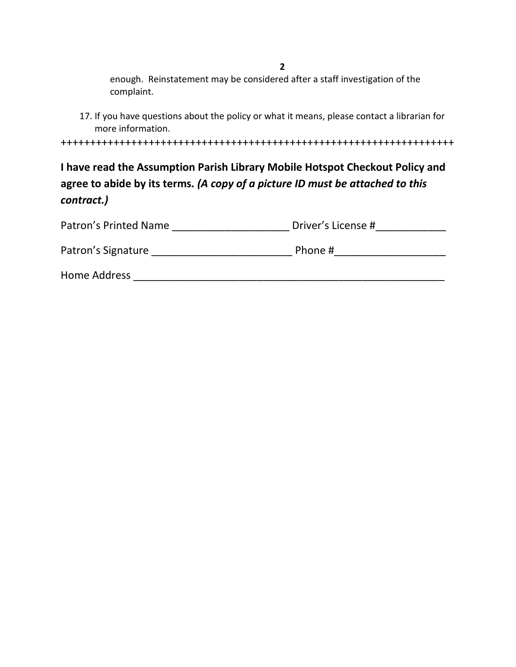enough. Reinstatement may be considered after a staff investigation of the complaint.

+++++++++++++++++++++++++++++++++++++++++++++++++++++++++++++++++++

**I have read the Assumption Parish Library Mobile Hotspot Checkout Policy and agree to abide by its terms***. (A copy of a picture ID must be attached to this contract.)*

| Patron's Printed Name | Driver's License # |
|-----------------------|--------------------|
| Patron's Signature    | Phone #            |
| Home Address          |                    |

<sup>17.</sup> If you have questions about the policy or what it means, please contact a librarian for more information.